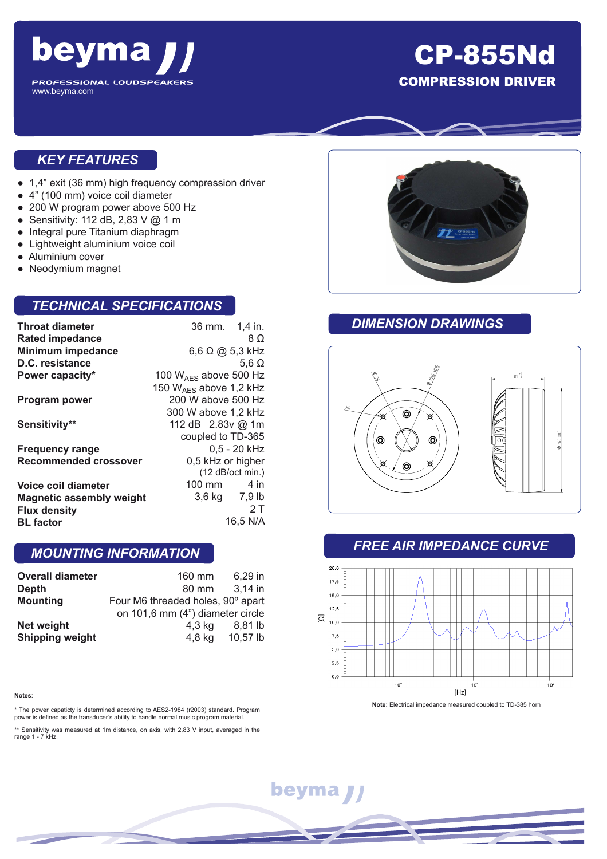

## CP-855Nd COMPRESSION DRIVER

#### *KEY FEATURES*

- 1,4" exit (36 mm) high frequency compression driver
- 4" (100 mm) voice coil diameter
- 200 W program power above 500 Hz
- Sensitivity: 112 dB, 2,83 V @ 1 m
- Integral pure Titanium diaphragm
- Lightweight aluminium voice coil
- Aluminium cover
- Neodymium magnet

#### *TECHNICAL SPECIFICATIONS*

| <b>Throat diameter</b>          | 36 mm. 1,4 in.              |          |
|---------------------------------|-----------------------------|----------|
| <b>Rated impedance</b>          |                             | 8 O      |
| <b>Minimum impedance</b>        | $6,6$ $\Omega$ @ 5.3 kHz    |          |
| D.C. resistance                 | 5.6 $\Omega$                |          |
| Power capacity*                 | 100 $W_{AFS}$ above 500 Hz  |          |
|                                 | 150 $W_{AFS}$ above 1,2 kHz |          |
| <b>Program power</b>            | 200 W above 500 Hz          |          |
|                                 | 300 W above 1,2 kHz         |          |
| Sensitivity**                   | 112 dB 2.83v @ 1m           |          |
|                                 | coupled to TD-365           |          |
| <b>Frequency range</b>          | $0.5 - 20$ kHz              |          |
| <b>Recommended crossover</b>    | 0,5 kHz or higher           |          |
|                                 | $(12$ dB/oct min.)          |          |
| Voice coil diameter             | 100 mm                      | 4 in     |
| <b>Magnetic assembly weight</b> | 3,6 kg 7,9 lb               |          |
| <b>Flux density</b>             |                             | 2 T      |
| <b>BL</b> factor                |                             | 16.5 N/A |

#### *MOUNTING INFORMATION*

| <b>Overall diameter</b> | 160 mm                            | 6.29 in  |
|-------------------------|-----------------------------------|----------|
| Depth                   | 80 mm                             | 3,14 in  |
| <b>Mounting</b>         | Four M6 threaded holes, 90° apart |          |
|                         | on 101,6 mm (4") diameter circle  |          |
| Net weight              | 4,3 kg                            | 8.81 lb  |
| <b>Shipping weight</b>  | $4,8$ kg                          | 10,57 lb |

#### **Notes**:

\* The power capaticty is determined according to AES2-1984 (r2003) standard. Program power is defined as the transducer's ability to handle normal music program material.

\*\* Sensitivity was measured at 1m distance, on axis, with 2,83 V input, averaged in the range 1 - 7 kHz.



### *DIMENSION DRAWINGS*



#### *FREE AIR IMPEDANCE CURVE*



**Note:** Electrical impedance measured coupled to TD-385 horn

beyma J